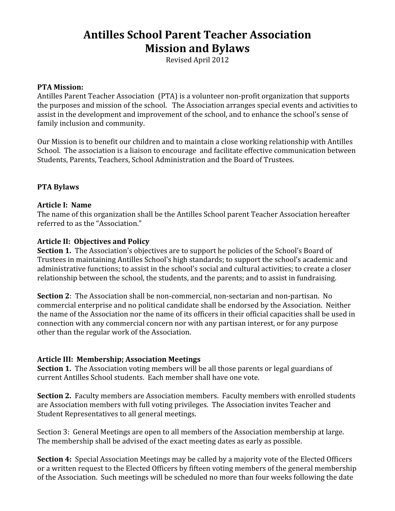# **Antilles School Parent Teacher Association Mission and Bylaws**

Revised April 2012

#### **PTA Mission:**

Antilles Parent Teacher Association (PTA) is a volunteer non‐profit organization that supports the purposes and mission of the school. The Association arranges special events and activities to assist in the development and improvement of the school, and to enhance the school's sense of family inclusion and community.

Our Mission is to benefit our children and to maintain a close working relationship with Antilles School. The association is a liaison to encourage and facilitate effective communication between Students, Parents, Teachers, School Administration and the Board of Trustees.

#### **PTA Bylaws**

#### **Article I: Name**

The name of this organization shall be the Antilles School parent Teacher Association hereafter referred to as the "Association."

#### **Article II: Objectives and Policy**

**Section 1.** The Association's objectives are to support he policies of the School's Board of Trustees in maintaining Antilles School's high standards; to support the school's academic and administrative functions; to assist in the school's social and cultural activities; to create a closer relationship between the school, the students, and the parents; and to assist in fundraising.

**Section 2**: The Association shall be non-commercial, non-sectarian and non-partisan. No commercial enterprise and no political candidate shall be endorsed by the Association. Neither the name of the Association nor the name of its officers in their official capacities shall be used in connection with any commercial concern nor with any partisan interest, or for any purpose other than the regular work of the Association.

#### **Article III: Membership; Association Meetings**

**Section 1.** The Association voting members will be all those parents or legal guardians of current Antilles School students. Each member shall have one vote.

**Section 2.** Faculty members are Association members. Faculty members with enrolled students are Association members with full voting privileges. The Association invites Teacher and Student Representatives to all general meetings.

Section 3: General Meetings are open to all members of the Association membership at large. The membership shall be advised of the exact meeting dates as early as possible.

**Section 4:** Special Association Meetings may be called by a majority vote of the Elected Officers or a written request to the Elected Officers by fifteen voting members of the general membership of the Association. Such meetings will be scheduled no more than four weeks following the date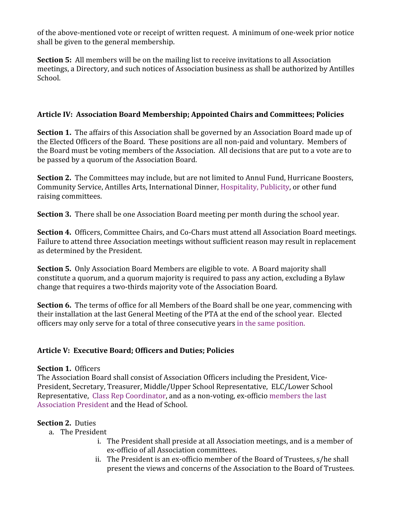of the above‐mentioned vote or receipt of written request. A minimum of one‐week prior notice shall be given to the general membership.

**Section 5:** All members will be on the mailing list to receive invitations to all Association meetings, a Directory, and such notices of Association business as shall be authorized by Antilles School.

# **Article IV: Association Board Membership; Appointed Chairs and Committees; Policies**

**Section 1.** The affairs of this Association shall be governed by an Association Board made up of the Elected Officers of the Board. These positions are all non-paid and voluntary. Members of the Board must be voting members of the Association. All decisions that are put to a vote are to be passed by a quorum of the Association Board.

**Section 2.** The Committees may include, but are not limited to Annul Fund, Hurricane Boosters, Community Service, Antilles Arts, International Dinner, Hospitality, Publicity, or other fund raising committees.

**Section 3.** There shall be one Association Board meeting per month during the school year.

**Section 4.** Officers, Committee Chairs, and Co‐Chars must attend all Association Board meetings. Failure to attend three Association meetings without sufficient reason may result in replacement as determined by the President.

**Section 5.** Only Association Board Members are eligible to vote. A Board majority shall constitute a quorum, and a quorum majority is required to pass any action, excluding a Bylaw change that requires a two‐thirds majority vote of the Association Board.

**Section 6.** The terms of office for all Members of the Board shall be one year, commencing with their installation at the last General Meeting of the PTA at the end of the school year. Elected officers may only serve for a total of three consecutive years in the same position.

# **Article V: Executive Board; Officers and Duties; Policies**

# **Section 1. Officers**

The Association Board shall consist of Association Officers including the President, Vice‐ President, Secretary, Treasurer, Middle/Upper School Representative, ELC/Lower School Representative, Class Rep Coordinator, and as a non‐voting, ex‐officio members the last Association President and the Head of School.

# **Section 2.** Duties

- a. The President
	- i. The President shall preside at all Association meetings, and is a member of ex‐officio of all Association committees.
	- ii. The President is an ex‐officio member of the Board of Trustees, s/he shall present the views and concerns of the Association to the Board of Trustees.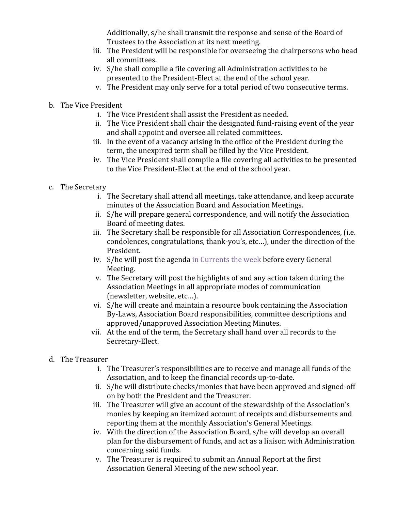Additionally, s/he shall transmit the response and sense of the Board of Trustees to the Association at its next meeting.

- iii. The President will be responsible for overseeing the chairpersons who head all committees.
- iv. S/he shall compile a file covering all Administration activities to be presented to the President‐Elect at the end of the school year.
- v. The President may only serve for a total period of two consecutive terms.
- b. The Vice President
	- i. The Vice President shall assist the President as needed.
	- ii. The Vice President shall chair the designated fund‐raising event of the year and shall appoint and oversee all related committees.
	- iii. In the event of a vacancy arising in the office of the President during the term, the unexpired term shall be filled by the Vice President.
	- iv. The Vice President shall compile a file covering all activities to be presented to the Vice President‐Elect at the end of the school year.
- c. The Secretary
	- i. The Secretary shall attend all meetings, take attendance, and keep accurate minutes of the Association Board and Association Meetings.
	- ii. S/he will prepare general correspondence, and will notify the Association Board of meeting dates.
	- iii. The Secretary shall be responsible for all Association Correspondences, (i.e. condolences, congratulations, thank‐you's, etc…), under the direction of the President.
	- iv. S/he will post the agenda in Currents the week before every General Meeting.
	- v. The Secretary will post the highlights of and any action taken during the Association Meetings in all appropriate modes of communication (newsletter, website, etc…).
	- vi. S/he will create and maintain a resource book containing the Association By‐Laws, Association Board responsibilities, committee descriptions and approved/unapproved Association Meeting Minutes.
	- vii. At the end of the term, the Secretary shall hand over all records to the Secretary‐Elect.
- d. The Treasurer
	- i. The Treasurer's responsibilities are to receive and manage all funds of the Association, and to keep the financial records up‐to‐date.
	- ii. S/he will distribute checks/monies that have been approved and signed‐off on by both the President and the Treasurer.
	- iii. The Treasurer will give an account of the stewardship of the Association's monies by keeping an itemized account of receipts and disbursements and reporting them at the monthly Association's General Meetings.
	- iv. With the direction of the Association Board, s/he will develop an overall plan for the disbursement of funds, and act as a liaison with Administration concerning said funds.
	- v. The Treasurer is required to submit an Annual Report at the first Association General Meeting of the new school year.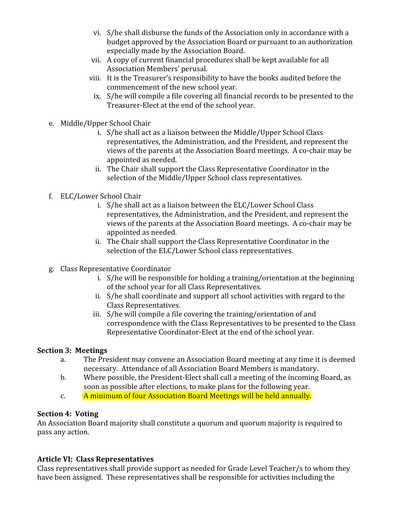- vi. S/he shall disburse the funds of the Association only in accordance with a budget approved by the Association Board or pursuant to an authorization especially made by the Association Board.
- vii. A copy of current financial procedures shall be kept available for all Association Members' perusal.
- viii. It is the Treasurer's responsibility to have the books audited before the commencement of the new school year.
	- ix. S/he will compile a file covering all financial records to be presented to the Treasurer‐Elect at the end of the school year.
- e. Middle/Upper School Chair
	- i. S/he shall act as a liaison between the Middle/Upper School Class representatives, the Administration, and the President, and represent the views of the parents at the Association Board meetings. A co‐chair may be appointed as needed.
	- ii. The Chair shall support the Class Representative Coordinator in the selection of the Middle/Upper School class representatives.
- f. ELC/Lower School Chair
	- i. S/he shall act as a liaison between the ELC/Lower School Class representatives, the Administration, and the President, and represent the views of the parents at the Association Board meetings. A co‐chair may be appointed as needed.
	- ii. The Chair shall support the Class Representative Coordinator in the selection of the ELC/Lower School class representatives.
- g. Class Representative Coordinator
	- i. S/he will be responsible for holding a training/orientation at the beginning of the school year for all Class Representatives.
	- ii. S/he shall coordinate and support all school activities with regard to the Class Representatives.
	- iii. S/he will compile a file covering the training/orientation of and correspondence with the Class Representatives to be presented to the Class Representative Coordinator‐Elect at the end of the school year.

#### **Section 3: Meetings**

- a. The President may convene an Association Board meeting at any time it is deemed necessary. Attendance of all Association Board Members is mandatory.
- b. Where possible, the President‐Elect shall call a meeting of the incoming Board, as soon as possible after elections, to make plans for the following year.
- c. A minimum of four Association Board Meetings will be held annually.

#### **Section 4: Voting**

An Association Board majority shall constitute a quorum and quorum majority is required to pass any action.

# **Article VI: Class Representatives**

Class representatives shall provide support as needed for Grade Level Teacher/s to whom they have been assigned. These representatives shall be responsible for activities including the